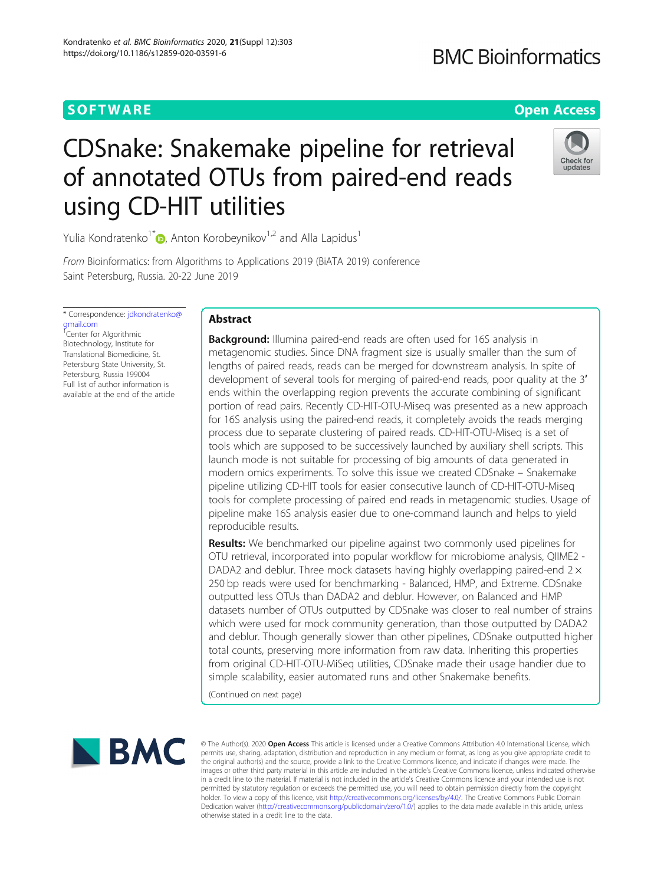# **SOFTWARE SOFTWARE** *CONSERVERSE EXECUTIVE EXECUTIVE EXECUTIVE EXECUTIVE EXECUTIVE EXECUTIVE EXECUTIVE EXECUTIVE EXECUTIVE EXECUTIVE EXECUTIVE EXECUTIVE EXECUTIVE EXECUTIVE EXECUTIVE EXECUTIVE EXECUTIVE EXECUTIVE EXECUT*

# **BMC Bioinformatics**

# CDSnake: Snakemake pipeline for retrieval of annotated OTUs from paired-end reads using CD-HIT utilities



Yulia Kondratenko<sup>1\*</sup> $\bullet$ , Anton Korobeynikov<sup>1,2</sup> and Alla Lapidus<sup>1</sup>

From Bioinformatics: from Algorithms to Applications 2019 (BiATA 2019) conference Saint Petersburg, Russia. 20-22 June 2019

\* Correspondence: [jdkondratenko@](mailto:jdkondratenko@gmail.com) [gmail.com](mailto:jdkondratenko@gmail.com) <sup>1</sup>Center for Algorithmic Biotechnology, Institute for Translational Biomedicine, St. Petersburg State University, St. Petersburg, Russia 199004 Full list of author information is available at the end of the article

## Abstract

**Background:** Illumina paired-end reads are often used for 16S analysis in metagenomic studies. Since DNA fragment size is usually smaller than the sum of lengths of paired reads, reads can be merged for downstream analysis. In spite of development of several tools for merging of paired-end reads, poor quality at the 3′ ends within the overlapping region prevents the accurate combining of significant portion of read pairs. Recently CD-HIT-OTU-Miseq was presented as a new approach for 16S analysis using the paired-end reads, it completely avoids the reads merging process due to separate clustering of paired reads. CD-HIT-OTU-Miseq is a set of tools which are supposed to be successively launched by auxiliary shell scripts. This launch mode is not suitable for processing of big amounts of data generated in modern omics experiments. To solve this issue we created CDSnake – Snakemake pipeline utilizing CD-HIT tools for easier consecutive launch of CD-HIT-OTU-Miseq tools for complete processing of paired end reads in metagenomic studies. Usage of pipeline make 16S analysis easier due to one-command launch and helps to yield reproducible results.

**Results:** We benchmarked our pipeline against two commonly used pipelines for OTU retrieval, incorporated into popular workflow for microbiome analysis, QIIME2 - DADA2 and deblur. Three mock datasets having highly overlapping paired-end  $2 \times$ 250 bp reads were used for benchmarking - Balanced, HMP, and Extreme. CDSnake outputted less OTUs than DADA2 and deblur. However, on Balanced and HMP datasets number of OTUs outputted by CDSnake was closer to real number of strains which were used for mock community generation, than those outputted by DADA2 and deblur. Though generally slower than other pipelines, CDSnake outputted higher total counts, preserving more information from raw data. Inheriting this properties from original CD-HIT-OTU-MiSeq utilities, CDSnake made their usage handier due to simple scalability, easier automated runs and other Snakemake benefits.

(Continued on next page)



© The Author(s). 2020 Open Access This article is licensed under a Creative Commons Attribution 4.0 International License, which permits use, sharing, adaptation, distribution and reproduction in any medium or format, as long as you give appropriate credit to the original author(s) and the source, provide a link to the Creative Commons licence, and indicate if changes were made. The images or other third party material in this article are included in the article's Creative Commons licence, unless indicated otherwise in a credit line to the material. If material is not included in the article's Creative Commons licence and your intended use is not permitted by statutory regulation or exceeds the permitted use, you will need to obtain permission directly from the copyright<br>holder. To view a copy of this licence, visit [http://creativecommons.org/licenses/by/4.0/.](http://creativecommons.org/licenses/by/4.0/) The Dedication waiver [\(http://creativecommons.org/publicdomain/zero/1.0/](http://creativecommons.org/publicdomain/zero/1.0/)) applies to the data made available in this article, unless otherwise stated in a credit line to the data.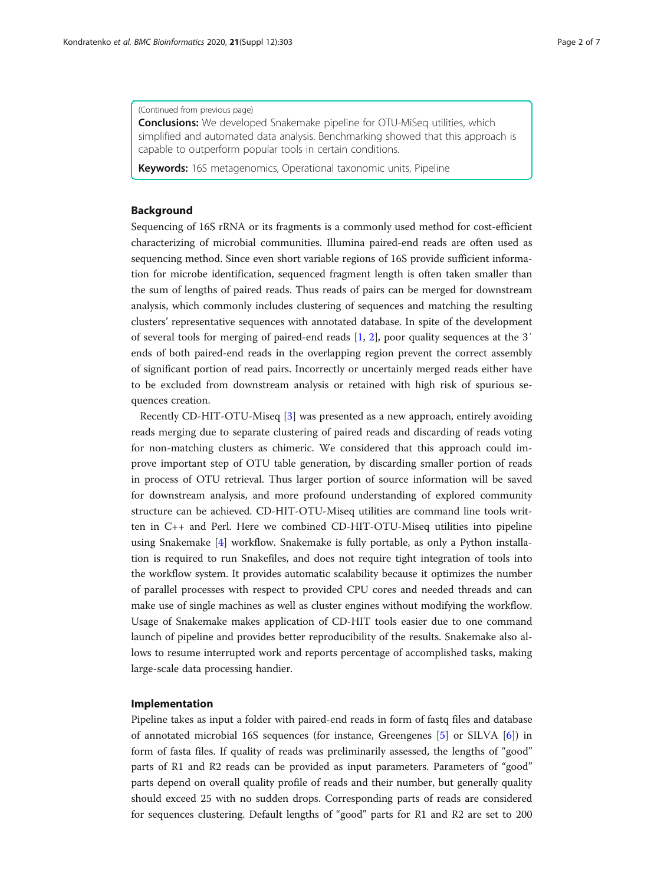#### (Continued from previous page)

**Conclusions:** We developed Snakemake pipeline for OTU-MiSeq utilities, which simplified and automated data analysis. Benchmarking showed that this approach is capable to outperform popular tools in certain conditions.

Keywords: 16S metagenomics, Operational taxonomic units, Pipeline

### Background

Sequencing of 16S rRNA or its fragments is a commonly used method for cost-efficient characterizing of microbial communities. Illumina paired-end reads are often used as sequencing method. Since even short variable regions of 16S provide sufficient information for microbe identification, sequenced fragment length is often taken smaller than the sum of lengths of paired reads. Thus reads of pairs can be merged for downstream analysis, which commonly includes clustering of sequences and matching the resulting clusters' representative sequences with annotated database. In spite of the development of several tools for merging of paired-end reads [[1,](#page-5-0) [2](#page-5-0)], poor quality sequences at the 3′ ends of both paired-end reads in the overlapping region prevent the correct assembly of significant portion of read pairs. Incorrectly or uncertainly merged reads either have to be excluded from downstream analysis or retained with high risk of spurious sequences creation.

Recently CD-HIT-OTU-Miseq [[3\]](#page-5-0) was presented as a new approach, entirely avoiding reads merging due to separate clustering of paired reads and discarding of reads voting for non-matching clusters as chimeric. We considered that this approach could improve important step of OTU table generation, by discarding smaller portion of reads in process of OTU retrieval. Thus larger portion of source information will be saved for downstream analysis, and more profound understanding of explored community structure can be achieved. CD-HIT-OTU-Miseq utilities are command line tools written in C++ and Perl. Here we combined CD-HIT-OTU-Miseq utilities into pipeline using Snakemake [[4\]](#page-5-0) workflow. Snakemake is fully portable, as only a Python installation is required to run Snakefiles, and does not require tight integration of tools into the workflow system. It provides automatic scalability because it optimizes the number of parallel processes with respect to provided CPU cores and needed threads and can make use of single machines as well as cluster engines without modifying the workflow. Usage of Snakemake makes application of CD-HIT tools easier due to one command launch of pipeline and provides better reproducibility of the results. Snakemake also allows to resume interrupted work and reports percentage of accomplished tasks, making large-scale data processing handier.

### Implementation

Pipeline takes as input a folder with paired-end reads in form of fastq files and database of annotated microbial 16S sequences (for instance, Greengenes [[5\]](#page-5-0) or SILVA [\[6](#page-5-0)]) in form of fasta files. If quality of reads was preliminarily assessed, the lengths of "good" parts of R1 and R2 reads can be provided as input parameters. Parameters of "good" parts depend on overall quality profile of reads and their number, but generally quality should exceed 25 with no sudden drops. Corresponding parts of reads are considered for sequences clustering. Default lengths of "good" parts for R1 and R2 are set to 200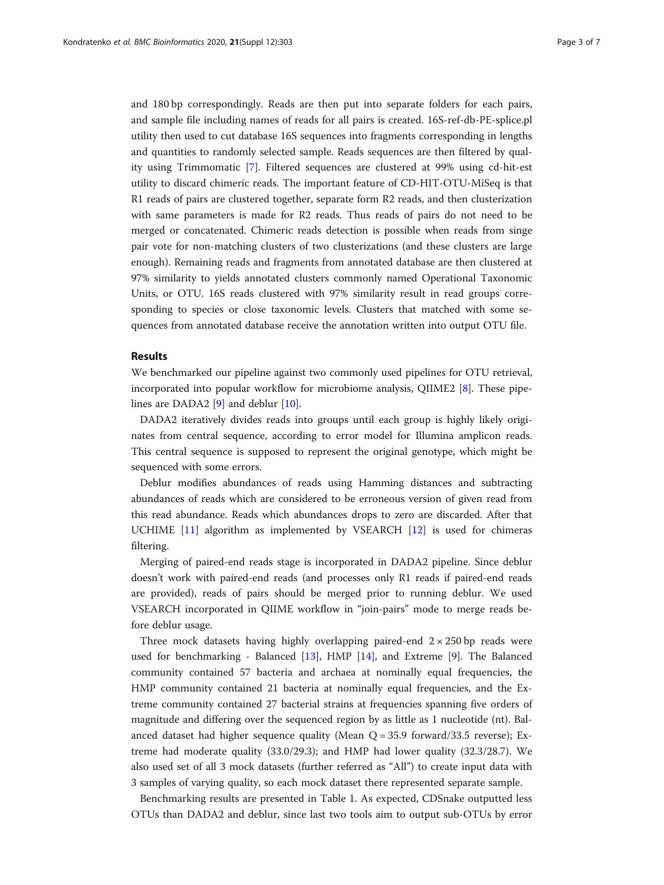and 180 bp correspondingly. Reads are then put into separate folders for each pairs, and sample file including names of reads for all pairs is created. 16S-ref-db-PE-splice.pl utility then used to cut database 16S sequences into fragments corresponding in lengths and quantities to randomly selected sample. Reads sequences are then filtered by quality using Trimmomatic [[7](#page-5-0)]. Filtered sequences are clustered at 99% using cd-hit-est utility to discard chimeric reads. The important feature of CD-HIT-OTU-MiSeq is that R1 reads of pairs are clustered together, separate form R2 reads, and then clusterization with same parameters is made for R2 reads. Thus reads of pairs do not need to be merged or concatenated. Chimeric reads detection is possible when reads from singe pair vote for non-matching clusters of two clusterizations (and these clusters are large enough). Remaining reads and fragments from annotated database are then clustered at 97% similarity to yields annotated clusters commonly named Operational Taxonomic Units, or OTU. 16S reads clustered with 97% similarity result in read groups corresponding to species or close taxonomic levels. Clusters that matched with some sequences from annotated database receive the annotation written into output OTU file.

### Results

We benchmarked our pipeline against two commonly used pipelines for OTU retrieval, incorporated into popular workflow for microbiome analysis, QIIME2 [[8\]](#page-5-0). These pipe-lines are DADA2 [[9\]](#page-5-0) and deblur [\[10](#page-5-0)].

DADA2 iteratively divides reads into groups until each group is highly likely originates from central sequence, according to error model for Illumina amplicon reads. This central sequence is supposed to represent the original genotype, which might be sequenced with some errors.

Deblur modifies abundances of reads using Hamming distances and subtracting abundances of reads which are considered to be erroneous version of given read from this read abundance. Reads which abundances drops to zero are discarded. After that UCHIME [\[11](#page-5-0)] algorithm as implemented by VSEARCH [[12](#page-5-0)] is used for chimeras filtering.

Merging of paired-end reads stage is incorporated in DADA2 pipeline. Since deblur doesn't work with paired-end reads (and processes only R1 reads if paired-end reads are provided), reads of pairs should be merged prior to running deblur. We used VSEARCH incorporated in QIIME workflow in "join-pairs" mode to merge reads before deblur usage.

Three mock datasets having highly overlapping paired-end  $2 \times 250$  bp reads were used for benchmarking - Balanced [\[13](#page-6-0)], HMP [\[14](#page-6-0)], and Extreme [\[9](#page-5-0)]. The Balanced community contained 57 bacteria and archaea at nominally equal frequencies, the HMP community contained 21 bacteria at nominally equal frequencies, and the Extreme community contained 27 bacterial strains at frequencies spanning five orders of magnitude and differing over the sequenced region by as little as 1 nucleotide (nt). Balanced dataset had higher sequence quality (Mean  $Q = 35.9$  forward/33.5 reverse); Extreme had moderate quality (33.0/29.3); and HMP had lower quality (32.3/28.7). We also used set of all 3 mock datasets (further referred as "All") to create input data with 3 samples of varying quality, so each mock dataset there represented separate sample.

Benchmarking results are presented in Table [1](#page-3-0). As expected, CDSnake outputted less OTUs than DADA2 and deblur, since last two tools aim to output sub-OTUs by error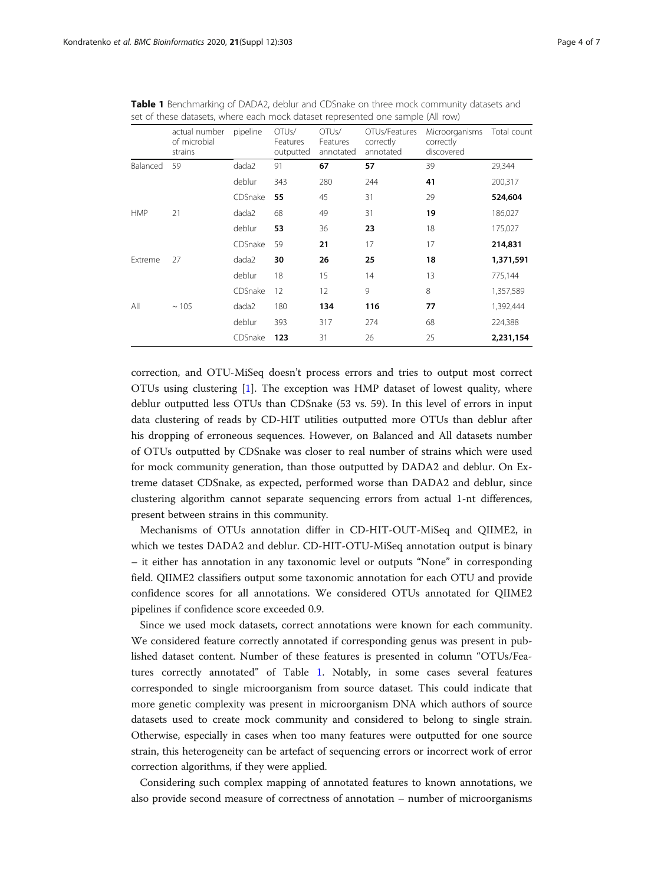|            | actual number<br>of microbial<br>strains | pipeline | OTU <sub>s</sub> /<br>Features<br>outputted | OTU <sub>s</sub> /<br>Features<br>annotated | OTUs/Features<br>correctly<br>annotated | Microorganisms<br>correctly<br>discovered | Total count |
|------------|------------------------------------------|----------|---------------------------------------------|---------------------------------------------|-----------------------------------------|-------------------------------------------|-------------|
| Balanced   | 59                                       | dada2    | 91                                          | 67                                          | 57                                      | 39                                        | 29,344      |
|            |                                          | deblur   | 343                                         | 280                                         | 244                                     | 41                                        | 200,317     |
|            |                                          | CDSnake  | 55                                          | 45                                          | 31                                      | 29                                        | 524,604     |
| <b>HMP</b> | 21                                       | dada2    | 68                                          | 49                                          | 31                                      | 19                                        | 186,027     |
|            |                                          | deblur   | 53                                          | 36                                          | 23                                      | 18                                        | 175,027     |
|            |                                          | CDSnake  | 59                                          | 21                                          | 17                                      | 17                                        | 214,831     |
| Extreme    | 27                                       | dada2    | 30                                          | 26                                          | 25                                      | 18                                        | 1,371,591   |
|            |                                          | deblur   | 18                                          | 15                                          | 14                                      | 13                                        | 775,144     |
|            |                                          | CDSnake  | 12                                          | 12                                          | 9                                       | 8                                         | 1,357,589   |
| All        | ~105                                     | dada2    | 180                                         | 134                                         | 116                                     | 77                                        | 1,392,444   |
|            |                                          | deblur   | 393                                         | 317                                         | 274                                     | 68                                        | 224,388     |
|            |                                          | CDSnake  | 123                                         | 31                                          | 26                                      | 25                                        | 2,231,154   |

<span id="page-3-0"></span>Table 1 Benchmarking of DADA2, deblur and CDSnake on three mock community datasets and set of these datasets, where each mock dataset represented one sample (All row)

correction, and OTU-MiSeq doesn't process errors and tries to output most correct OTUs using clustering [\[1](#page-5-0)]. The exception was HMP dataset of lowest quality, where deblur outputted less OTUs than CDSnake (53 vs. 59). In this level of errors in input data clustering of reads by CD-HIT utilities outputted more OTUs than deblur after his dropping of erroneous sequences. However, on Balanced and All datasets number of OTUs outputted by CDSnake was closer to real number of strains which were used for mock community generation, than those outputted by DADA2 and deblur. On Extreme dataset CDSnake, as expected, performed worse than DADA2 and deblur, since clustering algorithm cannot separate sequencing errors from actual 1-nt differences, present between strains in this community.

Mechanisms of OTUs annotation differ in CD-HIT-OUT-MiSeq and QIIME2, in which we testes DADA2 and deblur. CD-HIT-OTU-MiSeq annotation output is binary – it either has annotation in any taxonomic level or outputs "None" in corresponding field. QIIME2 classifiers output some taxonomic annotation for each OTU and provide confidence scores for all annotations. We considered OTUs annotated for QIIME2 pipelines if confidence score exceeded 0.9.

Since we used mock datasets, correct annotations were known for each community. We considered feature correctly annotated if corresponding genus was present in published dataset content. Number of these features is presented in column "OTUs/Features correctly annotated" of Table 1. Notably, in some cases several features corresponded to single microorganism from source dataset. This could indicate that more genetic complexity was present in microorganism DNA which authors of source datasets used to create mock community and considered to belong to single strain. Otherwise, especially in cases when too many features were outputted for one source strain, this heterogeneity can be artefact of sequencing errors or incorrect work of error correction algorithms, if they were applied.

Considering such complex mapping of annotated features to known annotations, we also provide second measure of correctness of annotation – number of microorganisms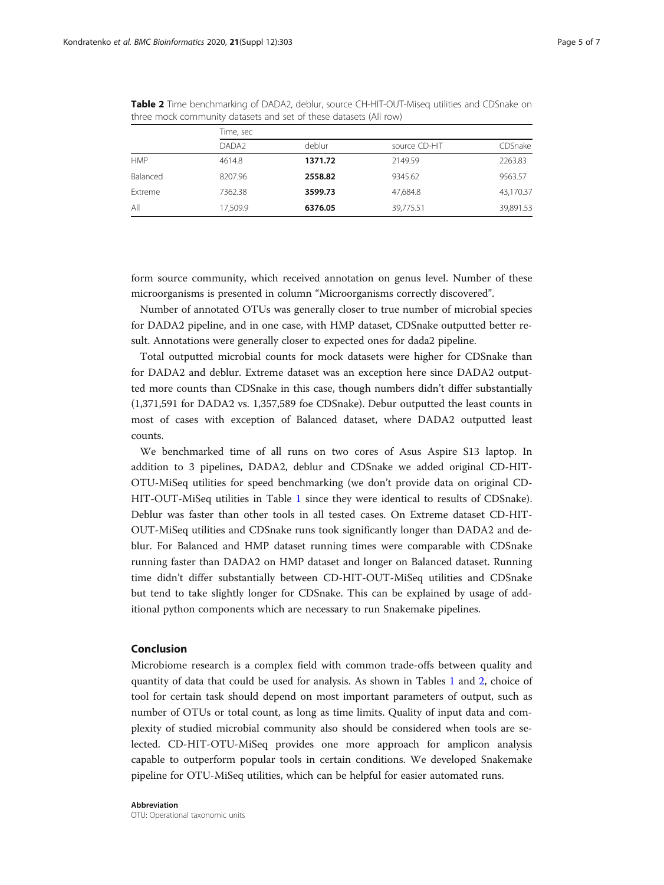|            | Time, sec         |         |               |           |  |  |  |
|------------|-------------------|---------|---------------|-----------|--|--|--|
|            | DADA <sub>2</sub> | deblur  | source CD-HIT | CDSnake   |  |  |  |
| <b>HMP</b> | 4614.8            | 1371.72 | 2149.59       | 2263.83   |  |  |  |
| Balanced   | 8207.96           | 2558.82 | 9345.62       | 9563.57   |  |  |  |
| Extreme    | 7362.38           | 3599.73 | 47.684.8      | 43,170.37 |  |  |  |
| All        | 17,509.9          | 6376.05 | 39,775.51     | 39,891.53 |  |  |  |

Table 2 Time benchmarking of DADA2, deblur, source CH-HIT-OUT-Miseq utilities and CDSnake on three mock community datasets and set of these datasets (All row)

form source community, which received annotation on genus level. Number of these microorganisms is presented in column "Microorganisms correctly discovered".

Number of annotated OTUs was generally closer to true number of microbial species for DADA2 pipeline, and in one case, with HMP dataset, CDSnake outputted better result. Annotations were generally closer to expected ones for dada2 pipeline.

Total outputted microbial counts for mock datasets were higher for CDSnake than for DADA2 and deblur. Extreme dataset was an exception here since DADA2 outputted more counts than CDSnake in this case, though numbers didn't differ substantially (1,371,591 for DADA2 vs. 1,357,589 foe CDSnake). Debur outputted the least counts in most of cases with exception of Balanced dataset, where DADA2 outputted least counts.

We benchmarked time of all runs on two cores of Asus Aspire S13 laptop. In addition to 3 pipelines, DADA2, deblur and CDSnake we added original CD-HIT-OTU-MiSeq utilities for speed benchmarking (we don't provide data on original CD-HIT-OUT-MiSeq utilities in Table [1](#page-3-0) since they were identical to results of CDSnake). Deblur was faster than other tools in all tested cases. On Extreme dataset CD-HIT-OUT-MiSeq utilities and CDSnake runs took significantly longer than DADA2 and deblur. For Balanced and HMP dataset running times were comparable with CDSnake running faster than DADA2 on HMP dataset and longer on Balanced dataset. Running time didn't differ substantially between CD-HIT-OUT-MiSeq utilities and CDSnake but tend to take slightly longer for CDSnake. This can be explained by usage of additional python components which are necessary to run Snakemake pipelines.

### Conclusion

Microbiome research is a complex field with common trade-offs between quality and quantity of data that could be used for analysis. As shown in Tables [1](#page-3-0) and 2, choice of tool for certain task should depend on most important parameters of output, such as number of OTUs or total count, as long as time limits. Quality of input data and complexity of studied microbial community also should be considered when tools are selected. CD-HIT-OTU-MiSeq provides one more approach for amplicon analysis capable to outperform popular tools in certain conditions. We developed Snakemake pipeline for OTU-MiSeq utilities, which can be helpful for easier automated runs.

#### Abbreviation

OTU: Operational taxonomic units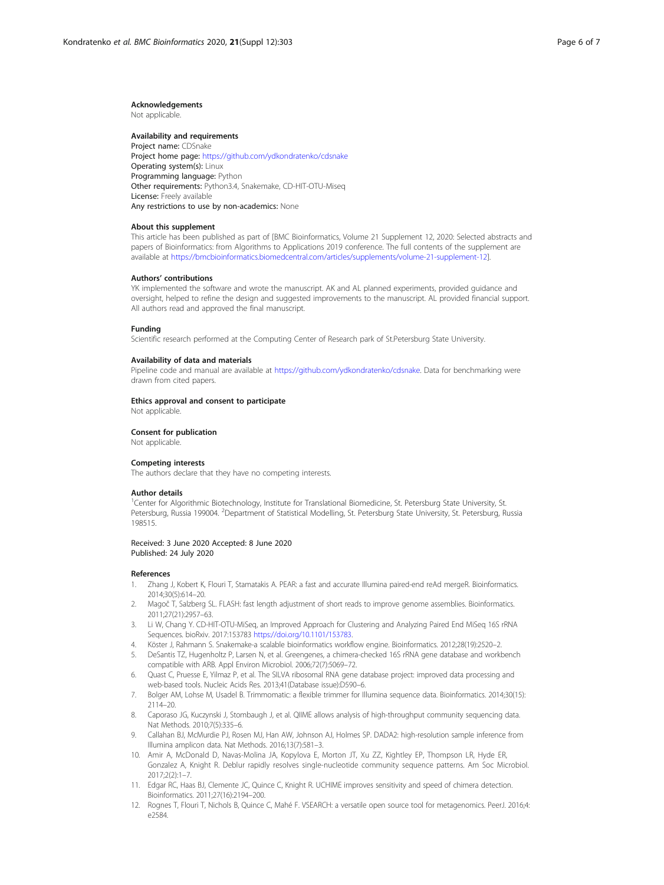#### <span id="page-5-0"></span>Acknowledgements

Not applicable.

#### Availability and requirements

Project name: CDSnake Project home page: <https://github.com/ydkondratenko/cdsnake> Operating system(s): Linux Programming language: Python Other requirements: Python3.4, Snakemake, CD-HIT-OTU-Miseq License: Freely available Any restrictions to use by non-academics: None

#### About this supplement

This article has been published as part of [BMC Bioinformatics, Volume 21 Supplement 12, 2020: Selected abstracts and papers of Bioinformatics: from Algorithms to Applications 2019 conference. The full contents of the supplement are available at <https://bmcbioinformatics.biomedcentral.com/articles/supplements/volume-21-supplement-12>].

#### Authors' contributions

YK implemented the software and wrote the manuscript. AK and AL planned experiments, provided guidance and oversight, helped to refine the design and suggested improvements to the manuscript. AL provided financial support. All authors read and approved the final manuscript.

#### Funding

Scientific research performed at the Computing Center of Research park of St.Petersburg State University.

#### Availability of data and materials

Pipeline code and manual are available at [https://github.com/ydkondratenko/cdsnake.](https://github.com/ydkondratenko/cdsnake) Data for benchmarking were drawn from cited papers.

#### Ethics approval and consent to participate

Not applicable.

#### Consent for publication

Not applicable.

#### Competing interests

The authors declare that they have no competing interests.

#### Author details

<sup>1</sup>Center for Algorithmic Biotechnology, Institute for Translational Biomedicine, St. Petersburg State University, St. Petersburg, Russia 199004. <sup>2</sup>Department of Statistical Modelling, St. Petersburg State University, St. Petersburg, Russia 198515.

#### Received: 3 June 2020 Accepted: 8 June 2020 Published: 24 July 2020

#### References

- 1. Zhang J, Kobert K, Flouri T, Stamatakis A. PEAR: a fast and accurate Illumina paired-end reAd mergeR. Bioinformatics. 2014;30(5):614–20.
- 2. Magoč T, Salzberg SL. FLASH: fast length adjustment of short reads to improve genome assemblies. Bioinformatics. 2011;27(21):2957–63.
- 3. Li W, Chang Y. CD-HIT-OTU-MiSeq, an Improved Approach for Clustering and Analyzing Paired End MiSeq 16S rRNA Sequences. bioRxiv. 2017:153783 <https://doi.org/10.1101/153783>.
- 4. Köster J, Rahmann S. Snakemake-a scalable bioinformatics workflow engine. Bioinformatics. 2012;28(19):2520–2.
- 5. DeSantis TZ, Hugenholtz P, Larsen N, et al. Greengenes, a chimera-checked 16S rRNA gene database and workbench compatible with ARB. Appl Environ Microbiol. 2006;72(7):5069–72.
- 6. Quast C, Pruesse E, Yilmaz P, et al. The SILVA ribosomal RNA gene database project: improved data processing and web-based tools. Nucleic Acids Res. 2013;41(Database issue):D590–6.
- 7. Bolger AM, Lohse M, Usadel B. Trimmomatic: a flexible trimmer for Illumina sequence data. Bioinformatics. 2014;30(15): 2114–20.
- 8. Caporaso JG, Kuczynski J, Stombaugh J, et al. QIIME allows analysis of high-throughput community sequencing data. Nat Methods. 2010;7(5):335–6.
- 9. Callahan BJ, McMurdie PJ, Rosen MJ, Han AW, Johnson AJ, Holmes SP. DADA2: high-resolution sample inference from Illumina amplicon data. Nat Methods. 2016;13(7):581–3.
- 10. Amir A, McDonald D, Navas-Molina JA, Kopylova E, Morton JT, Xu ZZ, Kightley EP, Thompson LR, Hyde ER, Gonzalez A, Knight R. Deblur rapidly resolves single-nucleotide community sequence patterns. Am Soc Microbiol. 2017;2(2):1–7.
- 11. Edgar RC, Haas BJ, Clemente JC, Quince C, Knight R. UCHIME improves sensitivity and speed of chimera detection. Bioinformatics. 2011;27(16):2194–200.
- 12. Rognes T, Flouri T, Nichols B, Quince C, Mahé F. VSEARCH: a versatile open source tool for metagenomics. PeerJ. 2016;4: e2584.